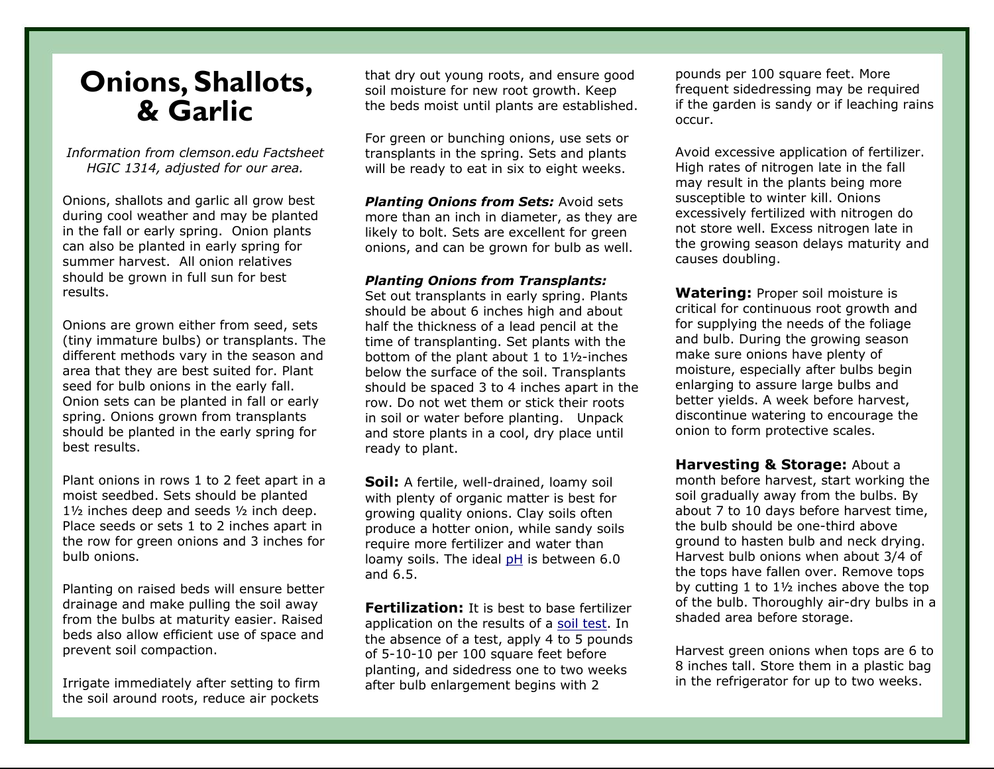## **Onions, Shallots, & Garlic**

*Information from clemson.edu Factsheet HGIC 1314, adjusted for our area.* 

Onions, shallots and garlic all grow best during cool weather and may be planted in the fall or early spring. Onion plants can also be planted in early spring for summer harvest. All onion relatives should be grown in full sun for best results.

Onions are grown either from seed, sets (tiny immature bulbs) or transplants. The different methods vary in the season and area that they are best suited for. Plant seed for bulb onions in the early fall. Onion sets can be planted in fall or early spring. Onions grown from transplants should be planted in the early spring for best results.

Plant onions in rows 1 to 2 feet apart in a moist seedbed. Sets should be planted 1½ inches deep and seeds ½ inch deep. Place seeds or sets 1 to 2 inches apart in the row for green onions and 3 inches for bulb onions.

Planting on raised beds will ensure better drainage and make pulling the soil away from the bulbs at maturity easier. Raised beds also allow efficient use of space and prevent soil compaction.

Irrigate immediately after setting to firm the soil around roots, reduce air pockets

that dry out young roots, and ensure good soil moisture for new root growth. Keep the beds moist until plants are established.

For green or bunching onions, use sets or transplants in the spring. Sets and plants will be ready to eat in six to eight weeks.

*Planting Onions from Sets:* Avoid sets more than an inch in diameter, as they are likely to bolt. Sets are excellent for green onions, and can be grown for bulb as well.

## *Planting Onions from Transplants:*

Set out transplants in early spring. Plants should be about 6 inches high and about half the thickness of a lead pencil at the time of transplanting. Set plants with the bottom of the plant about 1 to 1½-inches below the surface of the soil. Transplants should be spaced 3 to 4 inches apart in the row. Do not wet them or stick their roots in soil or water before planting. Unpack and store plants in a cool, dry place until ready to plant.

**Soil:** A fertile, well-drained, loamy soil with plenty of organic matter is best for growing quality onions. Clay soils often produce a hotter onion, while sandy soils require more fertilizer and water than loamy soils. The ideal pH is between 6.0 and 6.5.

**Fertilization:** It is best to base fertilizer application on the results of a soil test. In the absence of a test, apply 4 to 5 pounds of 5-10-10 per 100 square feet before planting, and sidedress one to two weeks after bulb enlargement begins with 2

pounds per 100 square feet. More frequent sidedressing may be required if the garden is sandy or if leaching rains occur.

Avoid excessive application of fertilizer. High rates of nitrogen late in the fall may result in the plants being more susceptible to winter kill. Onions excessively fertilized with nitrogen do not store well. Excess nitrogen late in the growing season delays maturity and causes doubling.

**Watering:** Proper soil moisture is critical for continuous root growth and for supplying the needs of the foliage and bulb. During the growing season make sure onions have plenty of moisture, especially after bulbs begin enlarging to assure large bulbs and better yields. A week before harvest, discontinue watering to encourage the onion to form protective scales.

**Harvesting & Storage:** About a month before harvest, start working the soil gradually away from the bulbs. By about 7 to 10 days before harvest time, the bulb should be one-third above ground to hasten bulb and neck drying. Harvest bulb onions when about 3/4 of the tops have fallen over. Remove tops by cutting 1 to 1½ inches above the top of the bulb. Thoroughly air-dry bulbs in a shaded area before storage.

Harvest green onions when tops are 6 to 8 inches tall. Store them in a plastic bag in the refrigerator for up to two weeks.